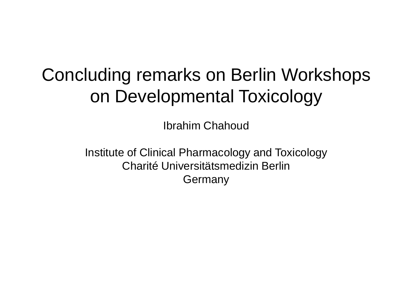# Concluding remarks on Berlin Workshops on Developmental Toxicology

Ibrahim Chahoud

Institute of Clinical Pharmacology and Toxicology Charité Universitätsmedizin Berlin Germany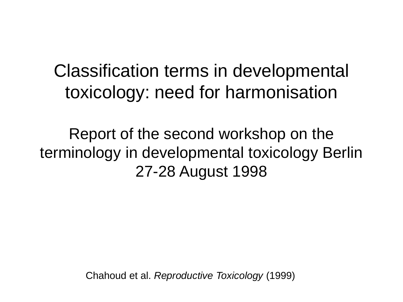# Classification terms in developmental toxicology: need for harmonisation

Report of the second workshop on the terminology in developmental toxicology Berlin 27-28 August 1998

Chahoud et al. *Reproductive Toxicology* (1999)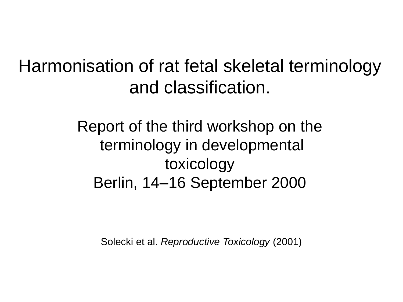### Harmonisation of rat fetal skeletal terminology and classification.

Report of the third workshop on the terminology in developmental toxicology Berlin, 14–16 September 2000

Solecki et al. *Reproductive Toxicology* (2001)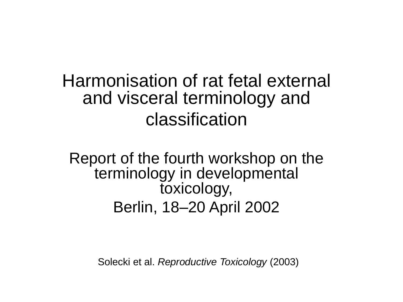Harmonisation of rat fetal external and visceral terminology and classification

Report of the fourth workshop on the terminology in developmental toxicology, Berlin, 18–20 April 2002

Solecki et al. *Reproductive Toxicology* (2003)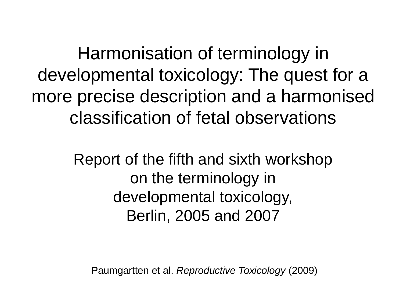Harmonisation of terminology in developmental toxicology: The quest for a more precise description and a harmonised classification of fetal observations

> Report of the fifth and sixth workshop on the terminology in developmental toxicology, Berlin, 2005 and 2007

Paumgartten et al. *Reproductive Toxicology* (2009)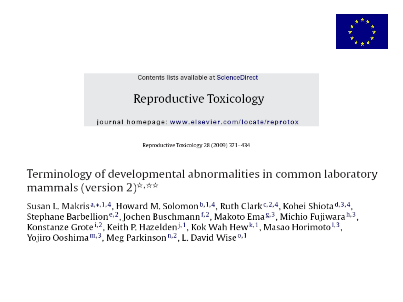

Contents lists available at ScienceDirect

### Reproductive Toxicology

journal homepage: www.elsevier.com/locate/reprotox

Reproductive Toxicology 28 (2009) 371-434

Terminology of developmental abnormalities in common laboratory mammals (version 2)<sup> $\star$ ,  $\star\star$ </sup>

Susan L. Makris<sup>a,\*,1,4</sup>, Howard M. Solomon<sup>b,1,4</sup>, Ruth Clark<sup>c,2,4</sup>, Kohei Shiota<sup>d,3,4</sup>, Stephane Barbellion<sup>e, 2</sup>, Jochen Buschmann<sup>f, 2</sup>, Makoto Ema<sup>g, 3</sup>, Michio Fujiwara<sup>h, 3</sup>, Konstanze Grote<sup>i,2</sup>, Keith P. Hazelden<sup>j,1</sup>, Kok Wah Hew<sup>k,1</sup>, Masao Horimoto<sup>1,3</sup>, Yojiro Ooshima<sup>m, 3</sup>, Meg Parkinson<sup>n, 2</sup>, L. David Wise<sup>0, 1</sup>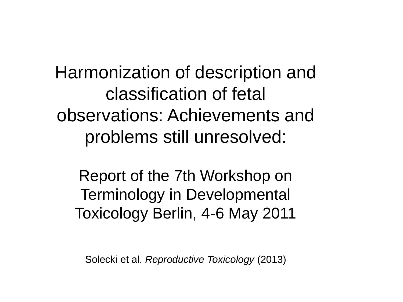Harmonization of description and classification of fetal observations: Achievements and problems still unresolved:

Report of the 7th Workshop on Terminology in Developmental Toxicology Berlin, 4-6 May 2011

Solecki et al. *Reproductive Toxicology* (2013)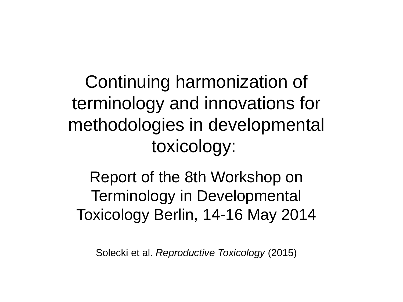Continuing harmonization of terminology and innovations for methodologies in developmental toxicology:

Report of the 8th Workshop on Terminology in Developmental Toxicology Berlin, 14-16 May 2014

Solecki et al. *Reproductive Toxicology* (2015)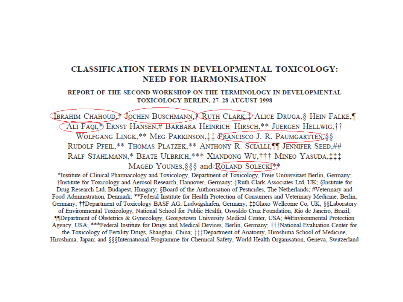### **CLASSIFICATION TERMS IN DEVELOPMENTAL TOXICOLOGY: NEED FOR HARMONISATION**

#### REPORT OF THE SECOND WORKSHOP ON THE TERMINOLOGY IN DEVELOPMENTAL TOXICOLOGY BERLIN, 27-28 AUGUST 1998

**VERAHIM CHAHOUD, COCHEN BUSCHMANN RUTH CLARK, PALICE DRUGA, S HEIN FALKE,** ALI FAQI,<sup>\*</sup>> ERNST HANSEN,# BARBARA HEINRICH-HIRSCH,\*\* JUERGEN HELLWIG, † † WOLFGANG LINGK,\*\* MEG PARKINSON, # FRANCISCO J. R. PAUMGARTTEN, § § RUDOLF PFEIL, \*\* THOMAS PLATZEK, \*\* ANTHONY R. SCIALLI, IT JENNIFER SEED, ## RALF STAHLMANN,\* BEATE ULBRICH,\*\*\* XIANDONG WU, iii MINEO YASUDA, iii MAGED YOUNES, §§§ and ROLAND SOLECKI<sup>\*\*</sup>

\*Institute of Clinical Pharmacology and Toxicology, Department of Toxicology, Freie Universitaet Berlin, Germany; †Institute for Toxicology and Aerosol Research, Hannover, Germany; ‡Ruth Clark Associates Ltd, UK; §Institute for Drug Research Ltd, Budapest, Hungary; §Board of the Authorisation of Pesticides, The Netherlands; #Veterinary and Food Administration, Denmark; \*\*Federal Institute for Health Protection of Consumers and Veterinary Medicine, Berlin, Germany; ††Department of Toxicology BASF AG, Ludwigshafen, Germany; ‡‡Glaxo Wellcome Co, UK; §§Laboratory of Environmental Toxicology, National School for Public Health, Oswaldo Cruz Foundation, Rio de Janeiro, Brazil; **IIDepartment of Obstetrics & Gynecology, Georgetown University Medical Center, USA; ##Environmental Protection** Agency, USA; \*\*\*Federal Institute for Drugs and Medical Devices, Berlin, Germany; †††National Evaluation Center for the Toxicology of Fertility Drugs, Shanghai, China; ###Department of Anatomy, Hiroshima School of Medicine, Hiroshima, Japan; and §§§International Programme for Chemical Safety, World Health Organisation, Geneva, Switzerland